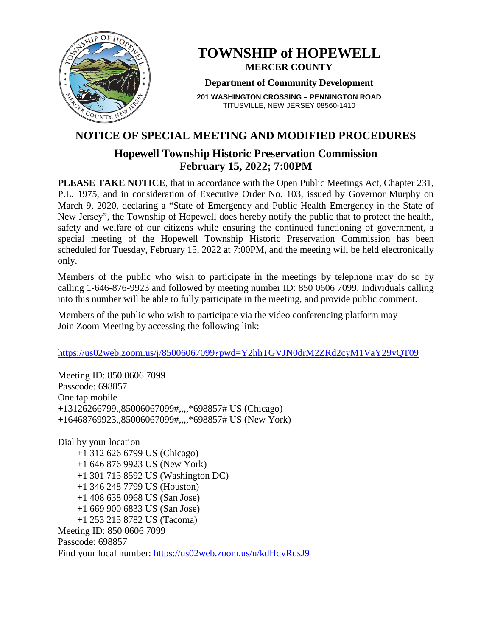

# **TOWNSHIP of HOPEWELL MERCER COUNTY**

#### **Department of Community Development**

**201 WASHINGTON CROSSING – PENNINGTON ROAD** TITUSVILLE, NEW JERSEY 08560-1410

# **NOTICE OF SPECIAL MEETING AND MODIFIED PROCEDURES**

## **Hopewell Township Historic Preservation Commission February 15, 2022; 7:00PM**

**PLEASE TAKE NOTICE**, that in accordance with the Open Public Meetings Act, Chapter 231, P.L. 1975, and in consideration of Executive Order No. 103, issued by Governor Murphy on March 9, 2020, declaring a "State of Emergency and Public Health Emergency in the State of New Jersey", the Township of Hopewell does hereby notify the public that to protect the health, safety and welfare of our citizens while ensuring the continued functioning of government, a special meeting of the Hopewell Township Historic Preservation Commission has been scheduled for Tuesday, February 15, 2022 at 7:00PM, and the meeting will be held electronically only.

Members of the public who wish to participate in the meetings by telephone may do so by calling 1-646-876-9923 and followed by meeting number ID: 850 0606 7099. Individuals calling into this number will be able to fully participate in the meeting, and provide public comment.

Members of the public who wish to participate via the video conferencing platform may Join Zoom Meeting by accessing the following link:

<https://us02web.zoom.us/j/85006067099?pwd=Y2hhTGVJN0drM2ZRd2cyM1VaY29yQT09>

Meeting ID: 850 0606 7099 Passcode: 698857 One tap mobile +13126266799,,85006067099#,,,,\*698857# US (Chicago) +16468769923,,85006067099#,,,,\*698857# US (New York)

Dial by your location +1 312 626 6799 US (Chicago) +1 646 876 9923 US (New York) +1 301 715 8592 US (Washington DC) +1 346 248 7799 US (Houston) +1 408 638 0968 US (San Jose) +1 669 900 6833 US (San Jose) +1 253 215 8782 US (Tacoma) Meeting ID: 850 0606 7099 Passcode: 698857 Find your local number:<https://us02web.zoom.us/u/kdHqvRusJ9>